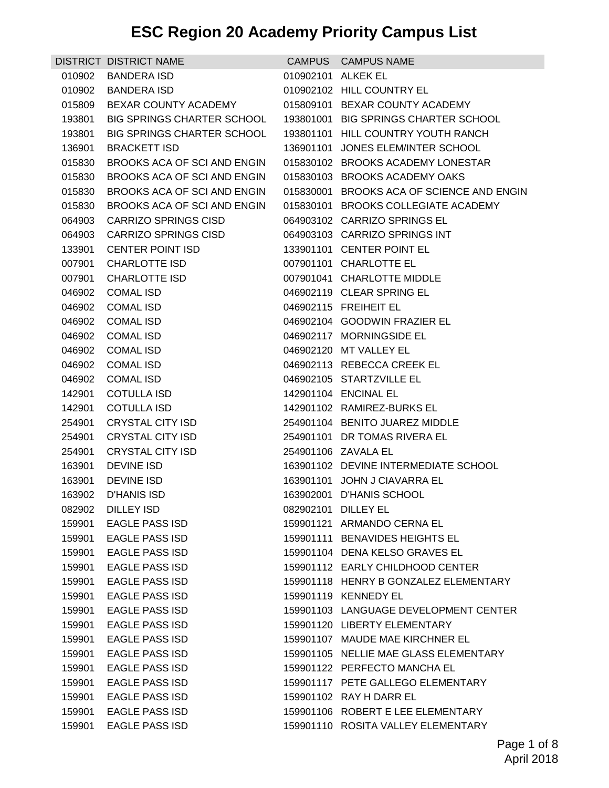|                  | DISTRICT DISTRICT NAME                                               |                    | CAMPUS CAMPUS NAME                                 |
|------------------|----------------------------------------------------------------------|--------------------|----------------------------------------------------|
| 010902           | <b>BANDERA ISD</b>                                                   | 010902101 ALKEK EL |                                                    |
| 010902           | BANDERA ISD                                                          |                    | 010902102 HILL COUNTRY EL                          |
| 015809           | BEXAR COUNTY ACADEMY                                                 |                    | 015809101 BEXAR COUNTY ACADEMY                     |
| 193801           | BIG SPRINGS CHARTER SCHOOL 193801001 BIG SPRINGS CHARTER SCHOOL      |                    |                                                    |
|                  | 193801 BIG SPRINGS CHARTER SCHOOL 193801101 HILL COUNTRY YOUTH RANCH |                    |                                                    |
| 136901           | <b>BRACKETT ISD</b>                                                  |                    | 136901101 JONES ELEM/INTER SCHOOL                  |
| 015830           | BROOKS ACA OF SCI AND ENGIN                                          |                    | 015830102 BROOKS ACADEMY LONESTAR                  |
| 015830           | BROOKS ACA OF SCI AND ENGIN                                          |                    | 015830103 BROOKS ACADEMY OAKS                      |
| 015830           | BROOKS ACA OF SCI AND ENGIN                                          |                    | 015830001 BROOKS ACA OF SCIENCE AND ENGIN          |
|                  | 015830 BROOKS ACA OF SCI AND ENGIN                                   |                    | 015830101 BROOKS COLLEGIATE ACADEMY                |
| 064903           | <b>CARRIZO SPRINGS CISD</b>                                          |                    | 064903102 CARRIZO SPRINGS EL                       |
|                  | 064903 CARRIZO SPRINGS CISD                                          |                    | 064903103 CARRIZO SPRINGS INT                      |
| 133901           | <b>CENTER POINT ISD</b>                                              |                    | 133901101 CENTER POINT EL                          |
|                  | 007901 CHARLOTTE ISD                                                 |                    | 007901101 CHARLOTTE EL                             |
| 007901           | CHARLOTTE ISD                                                        |                    | 007901041 CHARLOTTE MIDDLE                         |
| 046902           | <b>COMAL ISD</b>                                                     |                    | 046902119 CLEAR SPRING EL                          |
|                  | 046902 COMAL ISD                                                     |                    | 046902115 FREIHEIT EL                              |
| 046902           | <b>COMAL ISD</b>                                                     |                    | 046902104 GOODWIN FRAZIER EL                       |
|                  | 046902 COMAL ISD                                                     |                    | 046902117 MORNINGSIDE EL                           |
| 046902           | <b>COMAL ISD</b>                                                     |                    | 046902120 MT VALLEY EL                             |
| 046902           | <b>COMAL ISD</b>                                                     |                    | 046902113 REBECCA CREEK EL                         |
|                  | 046902 COMAL ISD                                                     |                    | 046902105 STARTZVILLE EL                           |
| 142901<br>142901 | <b>COTULLA ISD</b><br>COTULLA ISD                                    |                    | 142901104 ENCINAL EL<br>142901102 RAMIREZ-BURKS EL |
| 254901           | <b>CRYSTAL CITY ISD</b>                                              |                    | 254901104 BENITO JUAREZ MIDDLE                     |
| 254901           | <b>CRYSTAL CITY ISD</b>                                              |                    | 254901101 DR TOMAS RIVERA EL                       |
| 254901           | <b>CRYSTAL CITY ISD</b>                                              |                    | 254901106 ZAVALA EL                                |
| 163901           | DEVINE ISD                                                           |                    | 163901102 DEVINE INTERMEDIATE SCHOOL               |
| 163901           | DEVINE ISD                                                           |                    | 163901101 JOHN J CIAVARRA EL                       |
| 163902           | D'HANIS ISD                                                          |                    | 163902001 D'HANIS SCHOOL                           |
|                  | 082902 DILLEY ISD                                                    |                    | 082902101 DILLEY EL                                |
| 159901           | <b>EAGLE PASS ISD</b>                                                |                    | 159901121 ARMANDO CERNA EL                         |
| 159901           | <b>EAGLE PASS ISD</b>                                                |                    | 159901111 BENAVIDES HEIGHTS EL                     |
| 159901           | <b>EAGLE PASS ISD</b>                                                |                    | 159901104 DENA KELSO GRAVES EL                     |
| 159901           | <b>EAGLE PASS ISD</b>                                                |                    | 159901112 EARLY CHILDHOOD CENTER                   |
| 159901           | <b>EAGLE PASS ISD</b>                                                |                    | 159901118 HENRY B GONZALEZ ELEMENTARY              |
| 159901           | <b>EAGLE PASS ISD</b>                                                |                    | 159901119 KENNEDY EL                               |
| 159901           | <b>EAGLE PASS ISD</b>                                                |                    | 159901103 LANGUAGE DEVELOPMENT CENTER              |
| 159901           | <b>EAGLE PASS ISD</b>                                                |                    | 159901120 LIBERTY ELEMENTARY                       |
| 159901           | <b>EAGLE PASS ISD</b>                                                |                    | 159901107 MAUDE MAE KIRCHNER EL                    |
| 159901           | <b>EAGLE PASS ISD</b>                                                |                    | 159901105 NELLIE MAE GLASS ELEMENTARY              |
| 159901           | <b>EAGLE PASS ISD</b>                                                |                    | 159901122 PERFECTO MANCHA EL                       |
| 159901           | <b>EAGLE PASS ISD</b>                                                |                    | 159901117 PETE GALLEGO ELEMENTARY                  |
| 159901           | <b>EAGLE PASS ISD</b>                                                |                    | 159901102 RAY H DARR EL                            |
| 159901           | <b>EAGLE PASS ISD</b>                                                |                    | 159901106 ROBERT E LEE ELEMENTARY                  |
| 159901           | <b>EAGLE PASS ISD</b>                                                |                    | 159901110 ROSITA VALLEY ELEMENTARY                 |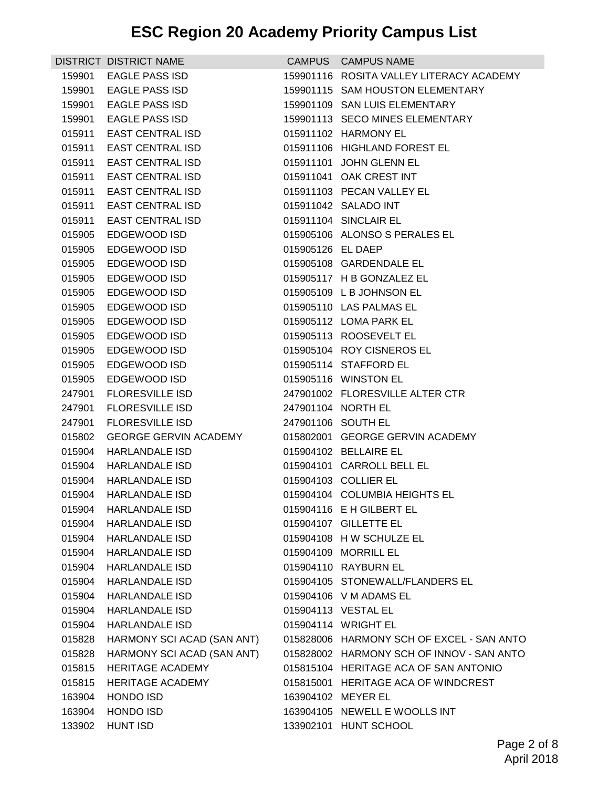|        | DISTRICT DISTRICT NAME       |                   | CAMPUS CAMPUS NAME                        |
|--------|------------------------------|-------------------|-------------------------------------------|
| 159901 | EAGLE PASS ISD               |                   | 159901116 ROSITA VALLEY LITERACY ACADEMY  |
|        | 159901 EAGLE PASS ISD        |                   | 159901115 SAM HOUSTON ELEMENTARY          |
| 159901 | <b>EAGLE PASS ISD</b>        |                   | 159901109 SAN LUIS ELEMENTARY             |
| 159901 | EAGLE PASS ISD               |                   | 159901113 SECO MINES ELEMENTARY           |
| 015911 | EAST CENTRAL ISD             |                   | 015911102 HARMONY EL                      |
| 015911 | <b>EAST CENTRAL ISD</b>      |                   | 015911106 HIGHLAND FOREST EL              |
| 015911 | EAST CENTRAL ISD             |                   | 015911101 JOHN GLENN EL                   |
| 015911 | EAST CENTRAL ISD             |                   | 015911041 OAK CREST INT                   |
| 015911 | EAST CENTRAL ISD             |                   | 015911103 PECAN VALLEY EL                 |
|        | 015911 EAST CENTRAL ISD      |                   | 015911042 SALADO INT                      |
| 015911 | <b>EAST CENTRAL ISD</b>      |                   | 015911104 SINCLAIR EL                     |
| 015905 | EDGEWOOD ISD                 |                   | 015905106 ALONSO S PERALES EL             |
| 015905 | EDGEWOOD ISD                 | 015905126 EL DAEP |                                           |
| 015905 | EDGEWOOD ISD                 |                   | 015905108 GARDENDALE EL                   |
| 015905 | EDGEWOOD ISD                 |                   | 015905117 H B GONZALEZ EL                 |
| 015905 | EDGEWOOD ISD                 |                   | 015905109 L B JOHNSON EL                  |
| 015905 | EDGEWOOD ISD                 |                   | 015905110 LAS PALMAS EL                   |
| 015905 | EDGEWOOD ISD                 |                   | 015905112 LOMA PARK EL                    |
| 015905 | EDGEWOOD ISD                 |                   | 015905113 ROOSEVELT EL                    |
| 015905 | EDGEWOOD ISD                 |                   | 015905104 ROY CISNEROS EL                 |
| 015905 | EDGEWOOD ISD                 |                   | 015905114 STAFFORD EL                     |
| 015905 | EDGEWOOD ISD                 |                   | 015905116 WINSTON EL                      |
| 247901 | <b>FLORESVILLE ISD</b>       |                   | 247901002 FLORESVILLE ALTER CTR           |
| 247901 | <b>FLORESVILLE ISD</b>       |                   | 247901104 NORTH EL                        |
| 247901 | <b>FLORESVILLE ISD</b>       |                   | 247901106 SOUTH EL                        |
| 015802 | <b>GEORGE GERVIN ACADEMY</b> |                   | 015802001 GEORGE GERVIN ACADEMY           |
| 015904 | <b>HARLANDALE ISD</b>        |                   | 015904102 BELLAIRE EL                     |
| 015904 | HARLANDALE ISD               |                   | 015904101 CARROLL BELL EL                 |
| 015904 | <b>HARLANDALE ISD</b>        |                   | 015904103 COLLIER EL                      |
| 015904 | <b>HARLANDALE ISD</b>        |                   | 015904104 COLUMBIA HEIGHTS EL             |
| 015904 | <b>HARLANDALE ISD</b>        |                   | 015904116 E H GILBERT EL                  |
| 015904 | <b>HARLANDALE ISD</b>        |                   | 015904107 GILLETTE EL                     |
| 015904 | <b>HARLANDALE ISD</b>        |                   | 015904108 H W SCHULZE EL                  |
|        | 015904 HARLANDALE ISD        |                   | 015904109 MORRILL EL                      |
| 015904 | HARLANDALE ISD               |                   | 015904110 RAYBURN EL                      |
|        | 015904 HARLANDALE ISD        |                   | 015904105 STONEWALL/FLANDERS EL           |
| 015904 | <b>HARLANDALE ISD</b>        |                   | 015904106 V M ADAMS EL                    |
| 015904 | <b>HARLANDALE ISD</b>        |                   | 015904113 VESTAL EL                       |
|        | 015904 HARLANDALE ISD        |                   | 015904114 WRIGHT EL                       |
| 015828 | HARMONY SCI ACAD (SAN ANT)   |                   | 015828006 HARMONY SCH OF EXCEL - SAN ANTO |
| 015828 | HARMONY SCI ACAD (SAN ANT)   |                   | 015828002 HARMONY SCH OF INNOV - SAN ANTO |
| 015815 | <b>HERITAGE ACADEMY</b>      |                   | 015815104 HERITAGE ACA OF SAN ANTONIO     |
| 015815 | HERITAGE ACADEMY             |                   | 015815001 HERITAGE ACA OF WINDCREST       |
| 163904 | <b>HONDO ISD</b>             |                   | 163904102 MEYER EL                        |
| 163904 | <b>HONDO ISD</b>             |                   | 163904105 NEWELL E WOOLLS INT             |
| 133902 | <b>HUNT ISD</b>              |                   | 133902101 HUNT SCHOOL                     |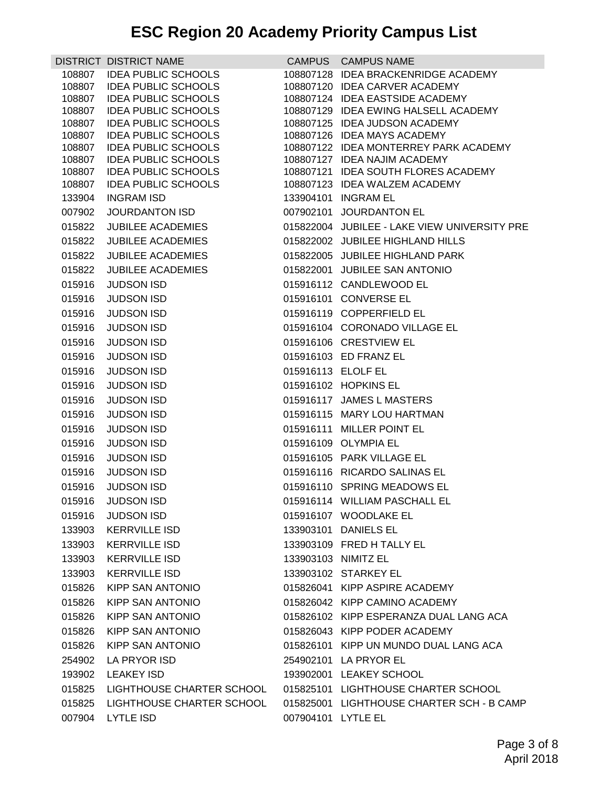|                  | DISTRICT DISTRICT NAME                                   |                    | CAMPUS CAMPUS NAME                                                    |
|------------------|----------------------------------------------------------|--------------------|-----------------------------------------------------------------------|
| 108807           | <b>IDEA PUBLIC SCHOOLS</b>                               |                    | 108807128 IDEA BRACKENRIDGE ACADEMY                                   |
| 108807           | <b>IDEA PUBLIC SCHOOLS</b>                               |                    | 108807120 IDEA CARVER ACADEMY                                         |
| 108807           | <b>IDEA PUBLIC SCHOOLS</b>                               |                    | 108807124 IDEA EASTSIDE ACADEMY                                       |
| 108807           | <b>IDEA PUBLIC SCHOOLS</b>                               |                    | 108807129 IDEA EWING HALSELL ACADEMY                                  |
| 108807           | <b>IDEA PUBLIC SCHOOLS</b>                               |                    | 108807125 IDEA JUDSON ACADEMY                                         |
| 108807           | <b>IDEA PUBLIC SCHOOLS</b>                               |                    | 108807126 IDEA MAYS ACADEMY                                           |
| 108807<br>108807 | <b>IDEA PUBLIC SCHOOLS</b><br><b>IDEA PUBLIC SCHOOLS</b> |                    | 108807122 IDEA MONTERREY PARK ACADEMY<br>108807127 IDEA NAJIM ACADEMY |
| 108807           | <b>IDEA PUBLIC SCHOOLS</b>                               |                    | 108807121 IDEA SOUTH FLORES ACADEMY                                   |
| 108807           | <b>IDEA PUBLIC SCHOOLS</b>                               |                    | 108807123 IDEA WALZEM ACADEMY                                         |
| 133904           | <b>INGRAM ISD</b>                                        |                    | 133904101 INGRAM EL                                                   |
| 007902           | JOURDANTON ISD                                           |                    | 007902101 JOURDANTON EL                                               |
| 015822           | <b>JUBILEE ACADEMIES</b>                                 |                    | 015822004 JUBILEE - LAKE VIEW UNIVERSITY PRE                          |
| 015822           | <b>JUBILEE ACADEMIES</b>                                 |                    | 015822002 JUBILEE HIGHLAND HILLS                                      |
| 015822           | <b>JUBILEE ACADEMIES</b>                                 |                    | 015822005 JUBILEE HIGHLAND PARK                                       |
| 015822           | <b>JUBILEE ACADEMIES</b>                                 |                    | 015822001 JUBILEE SAN ANTONIO                                         |
| 015916           | <b>JUDSON ISD</b>                                        |                    | 015916112 CANDLEWOOD EL                                               |
| 015916           | <b>JUDSON ISD</b>                                        |                    | 015916101 CONVERSE EL                                                 |
| 015916           | <b>JUDSON ISD</b>                                        |                    | 015916119 COPPERFIELD EL                                              |
| 015916           | <b>JUDSON ISD</b>                                        |                    | 015916104 CORONADO VILLAGE EL                                         |
| 015916           | <b>JUDSON ISD</b>                                        |                    | 015916106 CRESTVIEW EL                                                |
| 015916           | <b>JUDSON ISD</b>                                        |                    | 015916103 ED FRANZ EL                                                 |
| 015916           | <b>JUDSON ISD</b>                                        | 015916113 ELOLF EL |                                                                       |
| 015916           | <b>JUDSON ISD</b>                                        |                    | 015916102 HOPKINS EL                                                  |
| 015916           | <b>JUDSON ISD</b>                                        |                    | 015916117 JAMES L MASTERS                                             |
| 015916           | <b>JUDSON ISD</b>                                        |                    | 015916115 MARY LOU HARTMAN                                            |
| 015916           | <b>JUDSON ISD</b>                                        |                    | 015916111 MILLER POINT EL                                             |
| 015916           | <b>JUDSON ISD</b>                                        |                    | 015916109 OLYMPIA EL                                                  |
| 015916           | <b>JUDSON ISD</b>                                        |                    | 015916105 PARK VILLAGE EL                                             |
| 015916           | <b>JUDSON ISD</b>                                        |                    | 015916116 RICARDO SALINAS EL                                          |
| 015916           | <b>JUDSON ISD</b>                                        |                    | 015916110 SPRING MEADOWS EL                                           |
| 015916           | <b>JUDSON ISD</b>                                        |                    | 015916114 WILLIAM PASCHALL EL                                         |
| 015916           | <b>JUDSON ISD</b>                                        |                    | 015916107 WOODLAKE EL                                                 |
| 133903           | <b>KERRVILLE ISD</b>                                     |                    | 133903101 DANIELS EL                                                  |
| 133903           | <b>KERRVILLE ISD</b>                                     |                    | 133903109 FRED H TALLY EL                                             |
| 133903           | <b>KERRVILLE ISD</b>                                     |                    | 133903103 NIMITZ EL                                                   |
| 133903           | <b>KERRVILLE ISD</b>                                     |                    | 133903102 STARKEY EL                                                  |
| 015826           | <b>KIPP SAN ANTONIO</b>                                  |                    | 015826041 KIPP ASPIRE ACADEMY                                         |
| 015826           | KIPP SAN ANTONIO                                         |                    | 015826042 KIPP CAMINO ACADEMY                                         |
| 015826           | KIPP SAN ANTONIO                                         |                    | 015826102 KIPP ESPERANZA DUAL LANG ACA                                |
| 015826           | KIPP SAN ANTONIO                                         |                    | 015826043 KIPP PODER ACADEMY                                          |
| 015826           | KIPP SAN ANTONIO                                         |                    | 015826101 KIPP UN MUNDO DUAL LANG ACA                                 |
|                  | LA PRYOR ISD                                             |                    | 254902101 LA PRYOR EL                                                 |
| 254902           | <b>LEAKEY ISD</b>                                        |                    | 193902001 LEAKEY SCHOOL                                               |
| 193902           |                                                          |                    |                                                                       |
| 015825           | LIGHTHOUSE CHARTER SCHOOL                                |                    | 015825101 LIGHTHOUSE CHARTER SCHOOL                                   |
| 015825           | LIGHTHOUSE CHARTER SCHOOL                                |                    | 015825001 LIGHTHOUSE CHARTER SCH - B CAMP                             |
| 007904           | LYTLE ISD                                                | 007904101 LYTLE EL |                                                                       |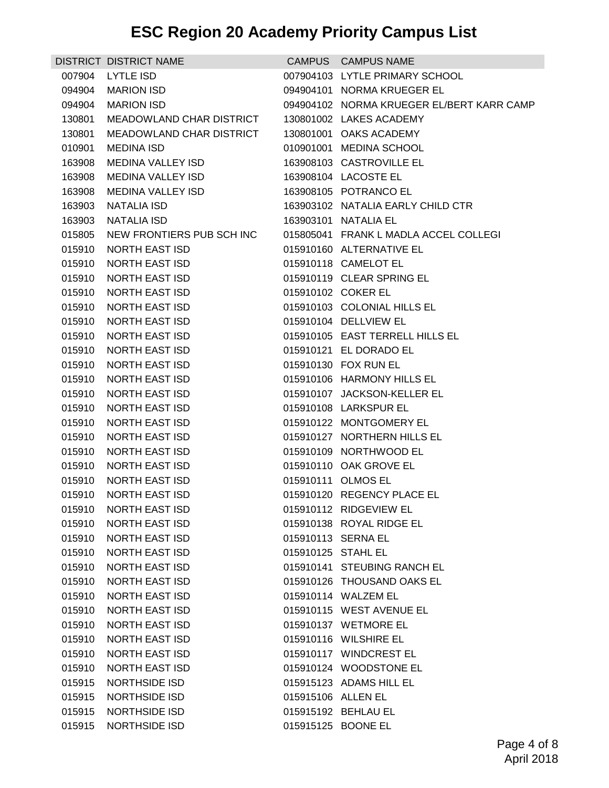|                  | DISTRICT DISTRICT NAME                  |                    | CAMPUS CAMPUS NAME                               |
|------------------|-----------------------------------------|--------------------|--------------------------------------------------|
| 007904           | <b>LYTLE ISD</b>                        |                    | 007904103 LYTLE PRIMARY SCHOOL                   |
| 094904           | MARION ISD                              |                    | 094904101 NORMA KRUEGER EL                       |
| 094904           | MARION ISD                              |                    | 094904102 NORMA KRUEGER EL/BERT KARR CAMP        |
| 130801           | MEADOWLAND CHAR DISTRICT                |                    | 130801002 LAKES ACADEMY                          |
| 130801           | MEADOWLAND CHAR DISTRICT                |                    | 130801001 OAKS ACADEMY                           |
| 010901           | <b>MEDINA ISD</b>                       |                    | 010901001 MEDINA SCHOOL                          |
| 163908           | MEDINA VALLEY ISD                       |                    | 163908103 CASTROVILLE EL                         |
| 163908           | MEDINA VALLEY ISD                       |                    | 163908104 LACOSTE EL                             |
| 163908           | MEDINA VALLEY ISD                       |                    | 163908105 POTRANCO EL                            |
|                  | 163903 NATALIA ISD                      |                    | 163903102 NATALIA EARLY CHILD CTR                |
| 163903           | NATALIA ISD                             |                    | 163903101 NATALIA EL                             |
| 015805           | NEW FRONTIERS PUB SCH INC               |                    | 015805041 FRANK L MADLA ACCEL COLLEGI            |
| 015910           | <b>NORTH EAST ISD</b>                   |                    | 015910160 ALTERNATIVE EL                         |
| 015910           | NORTH EAST ISD                          |                    | 015910118 CAMELOT EL                             |
| 015910           | NORTH EAST ISD                          |                    | 015910119 CLEAR SPRING EL                        |
| 015910           | NORTH EAST ISD                          |                    | 015910102 COKER EL                               |
| 015910           | NORTH EAST ISD                          |                    | 015910103 COLONIAL HILLS EL                      |
| 015910           | <b>NORTH EAST ISD</b>                   |                    | 015910104 DELLVIEW EL                            |
| 015910           | NORTH EAST ISD                          |                    | 015910105 EAST TERRELL HILLS EL                  |
| 015910           | NORTH EAST ISD                          |                    | 015910121 EL DORADO EL                           |
| 015910           | NORTH EAST ISD                          |                    | 015910130 FOX RUN EL                             |
| 015910           | NORTH EAST ISD                          |                    | 015910106 HARMONY HILLS EL                       |
| 015910           | NORTH EAST ISD                          |                    | 015910107 JACKSON-KELLER EL                      |
| 015910           | NORTH EAST ISD                          |                    | 015910108 LARKSPUR EL                            |
| 015910           | <b>NORTH EAST ISD</b>                   |                    | 015910122 MONTGOMERY EL                          |
| 015910           | <b>NORTH EAST ISD</b>                   |                    | 015910127 NORTHERN HILLS EL                      |
| 015910           | <b>NORTH EAST ISD</b>                   |                    | 015910109 NORTHWOOD EL<br>015910110 OAK GROVE EL |
| 015910<br>015910 | NORTH EAST ISD<br><b>NORTH EAST ISD</b> |                    | 015910111 OLMOS EL                               |
| 015910           | <b>NORTH EAST ISD</b>                   |                    | 015910120 REGENCY PLACE EL                       |
|                  | 015910 NORTH EAST ISD                   |                    | 015910112 RIDGEVIEW EL                           |
| 015910           | <b>NORTH EAST ISD</b>                   |                    | 015910138 ROYAL RIDGE EL                         |
| 015910           | <b>NORTH EAST ISD</b>                   |                    | 015910113 SERNA EL                               |
| 015910           | <b>NORTH EAST ISD</b>                   | 015910125 STAHL EL |                                                  |
| 015910           | <b>NORTH EAST ISD</b>                   |                    | 015910141 STEUBING RANCH EL                      |
| 015910           | NORTH EAST ISD                          |                    | 015910126 THOUSAND OAKS EL                       |
| 015910           | <b>NORTH EAST ISD</b>                   |                    | 015910114 WALZEM EL                              |
| 015910           | <b>NORTH EAST ISD</b>                   |                    | 015910115 WEST AVENUE EL                         |
| 015910           | NORTH EAST ISD                          |                    | 015910137 WETMORE EL                             |
| 015910           | NORTH EAST ISD                          |                    | 015910116 WILSHIRE EL                            |
| 015910           | <b>NORTH EAST ISD</b>                   |                    | 015910117 WINDCREST EL                           |
| 015910           | <b>NORTH EAST ISD</b>                   |                    | 015910124 WOODSTONE EL                           |
| 015915           | NORTHSIDE ISD                           |                    | 015915123 ADAMS HILL EL                          |
| 015915           | NORTHSIDE ISD                           | 015915106 ALLEN EL |                                                  |
| 015915           | NORTHSIDE ISD                           |                    | 015915192 BEHLAU EL                              |
| 015915           | NORTHSIDE ISD                           |                    | 015915125 BOONE EL                               |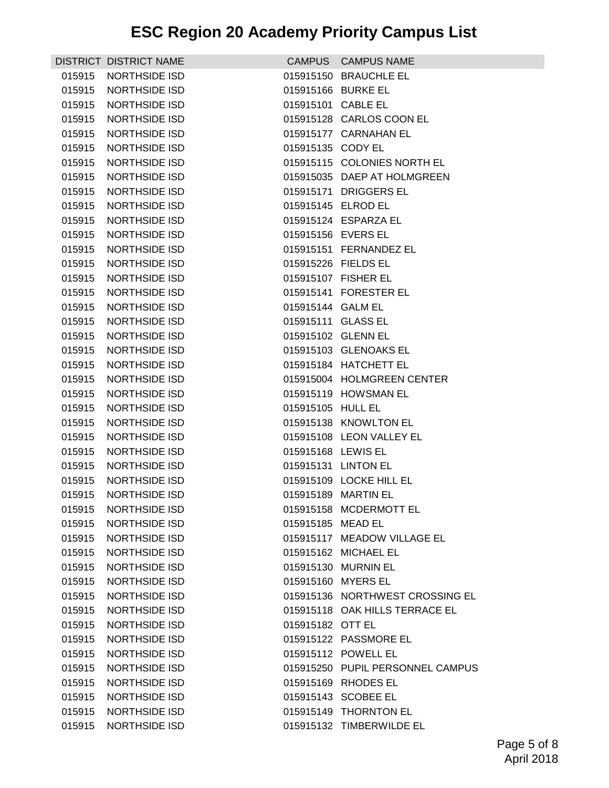|        | DISTRICT DISTRICT NAME |                     | CAMPUS CAMPUS NAME               |
|--------|------------------------|---------------------|----------------------------------|
| 015915 | <b>NORTHSIDE ISD</b>   |                     | 015915150 BRAUCHLE EL            |
| 015915 | <b>NORTHSIDE ISD</b>   | 015915166 BURKE EL  |                                  |
| 015915 | NORTHSIDE ISD          | 015915101 CABLE EL  |                                  |
| 015915 | <b>NORTHSIDE ISD</b>   |                     | 015915128 CARLOS COON EL         |
| 015915 | <b>NORTHSIDE ISD</b>   |                     | 015915177 CARNAHAN EL            |
| 015915 | NORTHSIDE ISD          | 015915135 CODY EL   |                                  |
| 015915 | NORTHSIDE ISD          |                     | 015915115 COLONIES NORTH EL      |
| 015915 | NORTHSIDE ISD          |                     | 015915035 DAEP AT HOLMGREEN      |
| 015915 | NORTHSIDE ISD          |                     | 015915171 DRIGGERS EL            |
| 015915 | NORTHSIDE ISD          | 015915145 ELROD EL  |                                  |
| 015915 | <b>NORTHSIDE ISD</b>   |                     | 015915124 ESPARZA EL             |
| 015915 | <b>NORTHSIDE ISD</b>   | 015915156 EVERS EL  |                                  |
| 015915 | NORTHSIDE ISD          |                     | 015915151 FERNANDEZ EL           |
| 015915 | NORTHSIDE ISD          | 015915226 FIELDS EL |                                  |
| 015915 | <b>NORTHSIDE ISD</b>   | 015915107 FISHER EL |                                  |
| 015915 | <b>NORTHSIDE ISD</b>   |                     | 015915141 FORESTER EL            |
| 015915 | <b>NORTHSIDE ISD</b>   | 015915144 GALM EL   |                                  |
| 015915 | <b>NORTHSIDE ISD</b>   | 015915111 GLASS EL  |                                  |
| 015915 | <b>NORTHSIDE ISD</b>   | 015915102 GLENN EL  |                                  |
| 015915 | NORTHSIDE ISD          |                     | 015915103 GLENOAKS EL            |
| 015915 | <b>NORTHSIDE ISD</b>   |                     | 015915184 HATCHETT EL            |
| 015915 | NORTHSIDE ISD          |                     | 015915004 HOLMGREEN CENTER       |
| 015915 | NORTHSIDE ISD          |                     | 015915119 HOWSMAN EL             |
| 015915 | <b>NORTHSIDE ISD</b>   | 015915105 HULL EL   |                                  |
| 015915 | <b>NORTHSIDE ISD</b>   |                     | 015915138 KNOWLTON EL            |
| 015915 | <b>NORTHSIDE ISD</b>   |                     | 015915108 LEON VALLEY EL         |
| 015915 | <b>NORTHSIDE ISD</b>   | 015915168 LEWIS EL  |                                  |
| 015915 | <b>NORTHSIDE ISD</b>   | 015915131 LINTON EL |                                  |
| 015915 | <b>NORTHSIDE ISD</b>   |                     | 015915109 LOCKE HILL EL          |
| 015915 | NORTHSIDE ISD          |                     | 015915189 MARTIN EL              |
| 015915 | <b>NORTHSIDE ISD</b>   |                     | 015915158 MCDERMOTT EL           |
| 015915 | NORTHSIDE ISD          | 015915185 MEAD EL   |                                  |
| 015915 | <b>NORTHSIDE ISD</b>   |                     | 015915117 MEADOW VILLAGE EL      |
| 015915 | <b>NORTHSIDE ISD</b>   |                     | 015915162 MICHAEL EL             |
| 015915 | <b>NORTHSIDE ISD</b>   |                     | 015915130 MURNIN EL              |
| 015915 | NORTHSIDE ISD          | 015915160 MYERS EL  |                                  |
| 015915 | <b>NORTHSIDE ISD</b>   |                     | 015915136 NORTHWEST CROSSING EL  |
| 015915 | <b>NORTHSIDE ISD</b>   |                     | 015915118 OAK HILLS TERRACE EL   |
| 015915 | <b>NORTHSIDE ISD</b>   | 015915182 OTT EL    |                                  |
| 015915 | NORTHSIDE ISD          |                     | 015915122 PASSMORE EL            |
| 015915 | NORTHSIDE ISD          |                     | 015915112 POWELL EL              |
| 015915 | <b>NORTHSIDE ISD</b>   |                     | 015915250 PUPIL PERSONNEL CAMPUS |
| 015915 | <b>NORTHSIDE ISD</b>   |                     | 015915169 RHODES EL              |
| 015915 | NORTHSIDE ISD          |                     | 015915143 SCOBEE EL              |
| 015915 | NORTHSIDE ISD          |                     | 015915149 THORNTON EL            |
| 015915 | NORTHSIDE ISD          |                     | 015915132 TIMBERWILDE EL         |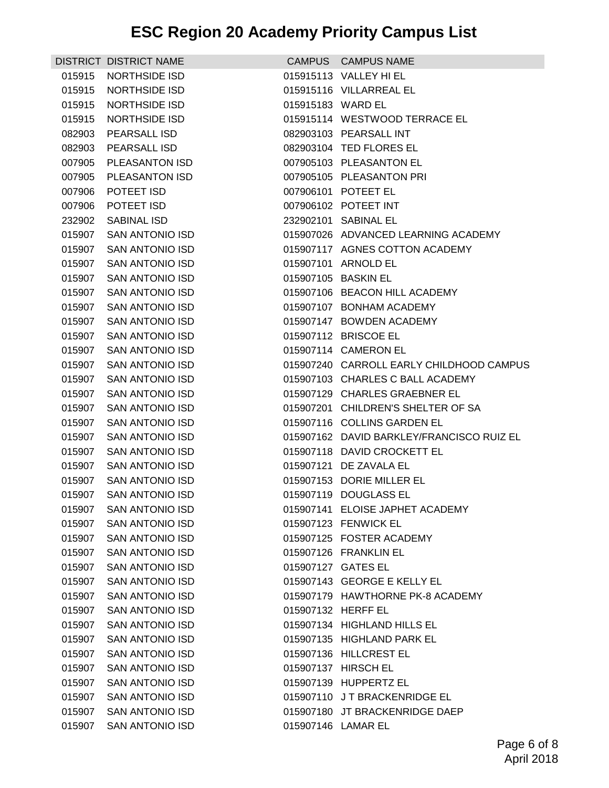|        | DISTRICT DISTRICT NAME |                    | CAMPUS CAMPUS NAME                        |
|--------|------------------------|--------------------|-------------------------------------------|
| 015915 | NORTHSIDE ISD          |                    | 015915113 VALLEY HI EL                    |
| 015915 | NORTHSIDE ISD          |                    | 015915116 VILLARREAL EL                   |
| 015915 | <b>NORTHSIDE ISD</b>   | 015915183 WARD EL  |                                           |
| 015915 | NORTHSIDE ISD          |                    | 015915114 WESTWOOD TERRACE EL             |
| 082903 | <b>PEARSALL ISD</b>    |                    | 082903103 PEARSALL INT                    |
| 082903 | PEARSALL ISD           |                    | 082903104 TED FLORES EL                   |
| 007905 | <b>PLEASANTON ISD</b>  |                    | 007905103 PLEASANTON EL                   |
| 007905 | PLEASANTON ISD         |                    | 007905105 PLEASANTON PRI                  |
| 007906 | POTEET ISD             |                    | 007906101 POTEET EL                       |
| 007906 | POTEET ISD             |                    | 007906102 POTEET INT                      |
| 232902 | <b>SABINAL ISD</b>     |                    | 232902101 SABINAL EL                      |
| 015907 | SAN ANTONIO ISD        |                    | 015907026 ADVANCED LEARNING ACADEMY       |
| 015907 | SAN ANTONIO ISD        |                    | 015907117 AGNES COTTON ACADEMY            |
| 015907 | <b>SAN ANTONIO ISD</b> |                    | 015907101 ARNOLD EL                       |
|        | 015907 SAN ANTONIO ISD |                    | 015907105 BASKIN EL                       |
| 015907 | SAN ANTONIO ISD        |                    | 015907106 BEACON HILL ACADEMY             |
| 015907 | SAN ANTONIO ISD        |                    | 015907107 BONHAM ACADEMY                  |
| 015907 | <b>SAN ANTONIO ISD</b> |                    | 015907147 BOWDEN ACADEMY                  |
| 015907 | <b>SAN ANTONIO ISD</b> |                    | 015907112 BRISCOE EL                      |
| 015907 | SAN ANTONIO ISD        |                    | 015907114 CAMERON EL                      |
| 015907 | <b>SAN ANTONIO ISD</b> |                    | 015907240 CARROLL EARLY CHILDHOOD CAMPUS  |
| 015907 | SAN ANTONIO ISD        |                    | 015907103 CHARLES C BALL ACADEMY          |
| 015907 | <b>SAN ANTONIO ISD</b> |                    | 015907129 CHARLES GRAEBNER EL             |
| 015907 | SAN ANTONIO ISD        |                    | 015907201 CHILDREN'S SHELTER OF SA        |
| 015907 | <b>SAN ANTONIO ISD</b> |                    | 015907116 COLLINS GARDEN EL               |
| 015907 | <b>SAN ANTONIO ISD</b> |                    | 015907162 DAVID BARKLEY/FRANCISCO RUIZ EL |
| 015907 | SAN ANTONIO ISD        |                    | 015907118 DAVID CROCKETT EL               |
| 015907 | SAN ANTONIO ISD        |                    | 015907121 DE ZAVALA EL                    |
|        | 015907 SAN ANTONIO ISD |                    | 015907153 DORIE MILLER EL                 |
| 015907 | <b>SAN ANTONIO ISD</b> |                    | 015907119 DOUGLASS EL                     |
| 015907 | <b>SAN ANTONIO ISD</b> |                    | 015907141 ELOISE JAPHET ACADEMY           |
| 015907 | <b>SAN ANTONIO ISD</b> |                    | 015907123 FENWICK EL                      |
| 015907 | <b>SAN ANTONIO ISD</b> |                    | 015907125 FOSTER ACADEMY                  |
|        | 015907 SAN ANTONIO ISD |                    | 015907126 FRANKLIN EL                     |
|        | 015907 SAN ANTONIO ISD | 015907127 GATES EL |                                           |
|        | 015907 SAN ANTONIO ISD |                    | 015907143 GEORGE E KELLY EL               |
| 015907 | <b>SAN ANTONIO ISD</b> |                    | 015907179 HAWTHORNE PK-8 ACADEMY          |
| 015907 | <b>SAN ANTONIO ISD</b> | 015907132 HERFF EL |                                           |
|        | 015907 SAN ANTONIO ISD |                    | 015907134 HIGHLAND HILLS EL               |
|        | 015907 SAN ANTONIO ISD |                    | 015907135 HIGHLAND PARK EL                |
|        | 015907 SAN ANTONIO ISD |                    | 015907136 HILLCREST EL                    |
| 015907 | SAN ANTONIO ISD        |                    | 015907137 HIRSCH EL                       |
| 015907 | <b>SAN ANTONIO ISD</b> |                    | 015907139 HUPPERTZ EL                     |
|        | 015907 SAN ANTONIO ISD |                    | 015907110 JT BRACKENRIDGE EL              |
|        | 015907 SAN ANTONIO ISD |                    | 015907180 JT BRACKENRIDGE DAEP            |
|        | 015907 SAN ANTONIO ISD |                    | 015907146 LAMAR EL                        |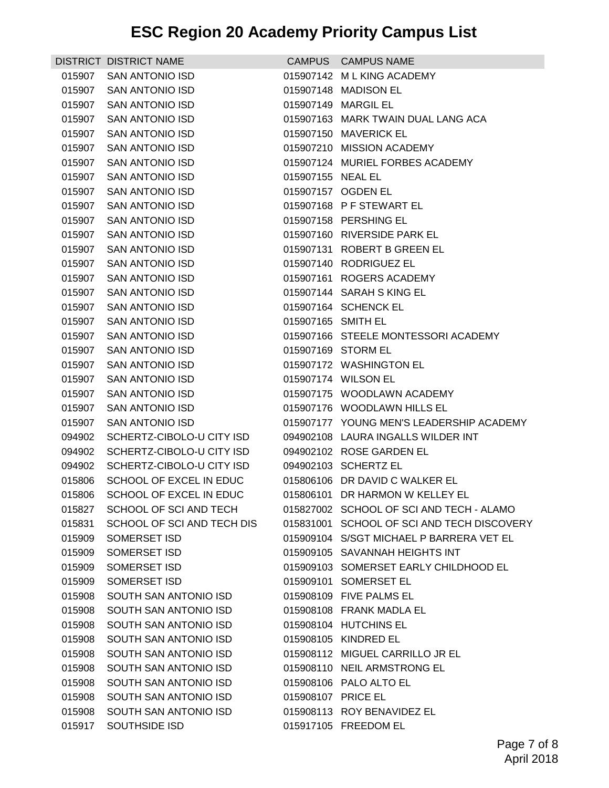|        | <b>DISTRICT DISTRICT NAME</b>                        |                    | CAMPUS CAMPUS NAME                                     |
|--------|------------------------------------------------------|--------------------|--------------------------------------------------------|
| 015907 | <b>SAN ANTONIO ISD</b>                               |                    | 015907142 ML KING ACADEMY                              |
| 015907 | <b>SAN ANTONIO ISD</b>                               |                    | 015907148 MADISON EL                                   |
| 015907 | <b>SAN ANTONIO ISD</b>                               |                    | 015907149 MARGIL EL                                    |
| 015907 | SAN ANTONIO ISD                                      |                    | 015907163 MARK TWAIN DUAL LANG ACA                     |
|        | 015907 SAN ANTONIO ISD                               |                    | 015907150 MAVERICK EL                                  |
| 015907 | <b>SAN ANTONIO ISD</b>                               |                    | 015907210 MISSION ACADEMY                              |
| 015907 | <b>SAN ANTONIO ISD</b>                               |                    | 015907124 MURIEL FORBES ACADEMY                        |
| 015907 | SAN ANTONIO ISD                                      | 015907155 NEAL EL  |                                                        |
| 015907 | <b>SAN ANTONIO ISD</b>                               |                    | 015907157 OGDEN EL                                     |
| 015907 | <b>SAN ANTONIO ISD</b>                               |                    | 015907168 PF STEWART EL                                |
| 015907 | <b>SAN ANTONIO ISD</b>                               |                    | 015907158 PERSHING EL                                  |
| 015907 | SAN ANTONIO ISD                                      |                    | 015907160 RIVERSIDE PARK EL                            |
| 015907 | SAN ANTONIO ISD                                      |                    | 015907131 ROBERT B GREEN EL                            |
| 015907 | <b>SAN ANTONIO ISD</b>                               |                    | 015907140 RODRIGUEZ EL                                 |
| 015907 | <b>SAN ANTONIO ISD</b>                               |                    | 015907161 ROGERS ACADEMY                               |
| 015907 | <b>SAN ANTONIO ISD</b>                               |                    | 015907144 SARAH S KING EL                              |
| 015907 | SAN ANTONIO ISD                                      |                    | 015907164 SCHENCK EL                                   |
| 015907 | SAN ANTONIO ISD                                      | 015907165 SMITH EL |                                                        |
|        | 015907 SAN ANTONIO ISD                               |                    | 015907166 STEELE MONTESSORI ACADEMY                    |
| 015907 | SAN ANTONIO ISD                                      |                    | 015907169 STORM EL                                     |
| 015907 | <b>SAN ANTONIO ISD</b>                               |                    | 015907172 WASHINGTON EL                                |
| 015907 | <b>SAN ANTONIO ISD</b>                               |                    | 015907174 WILSON EL                                    |
| 015907 | <b>SAN ANTONIO ISD</b>                               |                    | 015907175 WOODLAWN ACADEMY                             |
| 015907 | SAN ANTONIO ISD                                      |                    | 015907176 WOODLAWN HILLS EL                            |
| 015907 | <b>SAN ANTONIO ISD</b>                               |                    | 015907177 YOUNG MEN'S LEADERSHIP ACADEMY               |
| 094902 | SCHERTZ-CIBOLO-U CITY ISD                            |                    | 094902108 LAURA INGALLS WILDER INT                     |
| 094902 | SCHERTZ-CIBOLO-U CITY ISD                            |                    | 094902102 ROSE GARDEN EL                               |
| 094902 | SCHERTZ-CIBOLO-U CITY ISD<br>SCHOOL OF EXCEL IN EDUC |                    | 094902103 SCHERTZ EL<br>015806106 DR DAVID C WALKER EL |
| 015806 | 015806 SCHOOL OF EXCEL IN EDUC                       |                    | 015806101 DR HARMON W KELLEY EL                        |
|        | 015827 SCHOOL OF SCI AND TECH                        |                    | 015827002 SCHOOL OF SCI AND TECH - ALAMO               |
| 015831 | SCHOOL OF SCI AND TECH DIS                           |                    | 015831001 SCHOOL OF SCI AND TECH DISCOVERY             |
| 015909 | SOMERSET ISD                                         |                    | 015909104 S/SGT MICHAEL P BARRERA VET EL               |
| 015909 | <b>SOMERSET ISD</b>                                  |                    | 015909105 SAVANNAH HEIGHTS INT                         |
| 015909 | SOMERSET ISD                                         |                    | 015909103 SOMERSET EARLY CHILDHOOD EL                  |
| 015909 | SOMERSET ISD                                         |                    | 015909101 SOMERSET EL                                  |
| 015908 | SOUTH SAN ANTONIO ISD                                |                    | 015908109 FIVE PALMS EL                                |
| 015908 | SOUTH SAN ANTONIO ISD                                |                    | 015908108 FRANK MADLA EL                               |
| 015908 | SOUTH SAN ANTONIO ISD                                |                    | 015908104 HUTCHINS EL                                  |
| 015908 | SOUTH SAN ANTONIO ISD                                |                    | 015908105 KINDRED EL                                   |
| 015908 | SOUTH SAN ANTONIO ISD                                |                    | 015908112 MIGUEL CARRILLO JR EL                        |
| 015908 | SOUTH SAN ANTONIO ISD                                |                    | 015908110 NEIL ARMSTRONG EL                            |
| 015908 | SOUTH SAN ANTONIO ISD                                |                    | 015908106 PALO ALTO EL                                 |
| 015908 | SOUTH SAN ANTONIO ISD                                | 015908107 PRICE EL |                                                        |
|        | 015908 SOUTH SAN ANTONIO ISD                         |                    | 015908113 ROY BENAVIDEZ EL                             |
| 015917 | SOUTHSIDE ISD                                        |                    | 015917105 FREEDOM EL                                   |